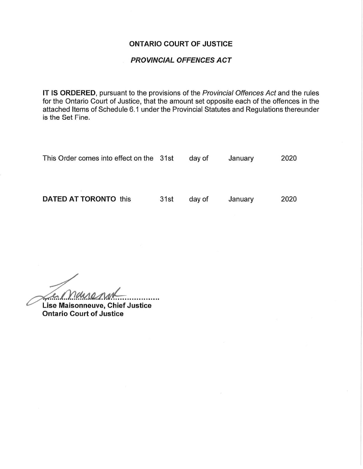#### ONTARIO COURT OF JUSTICE

#### PROVINCIAL OFFENCES ACT

IT IS ORDERED, pursuant to the provisions of the Provincial Offences Act and the rules for the Ontario Court of Justice, that the amount set opposite each of the offences in the attached Items of Schedule 6.1 under the Provincial Statutes and Regulations thereunder is the Set Fine.

| This Order comes into effect on the 31st |      | day of | January | 2020 |
|------------------------------------------|------|--------|---------|------|
|                                          |      |        |         |      |
| <b>DATED AT TORONTO this</b>             | 31st | day of | January | 2020 |

Le Mananne .....

Lise Maisonneuve, Chief Justice Ontario Court of Justice